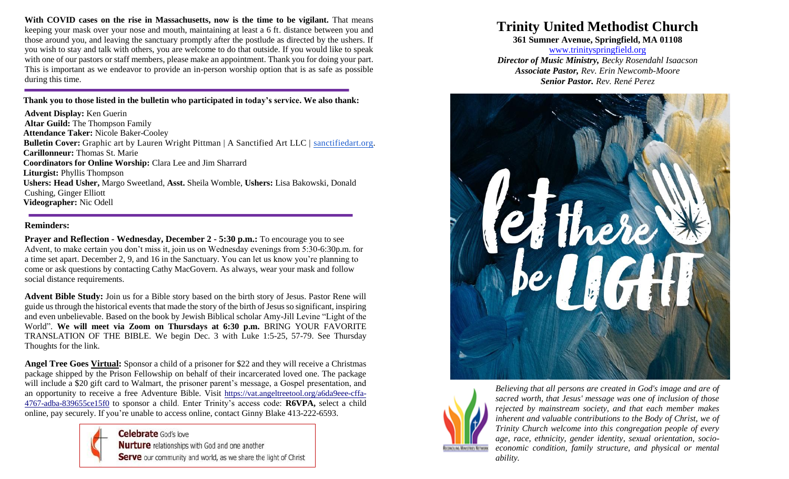**With COVID cases on the rise in Massachusetts, now is the time to be vigilant.** That means keeping your mask over your nose and mouth, maintaining at least a 6 ft. distance between you and those around you, and leaving the sanctuary promptly after the postlude as directed by the ushers. If you wish to stay and talk with others, you are welcome to do that outside. If you would like to speak with one of our pastors or staff members, please make an appointment. Thank you for doing your part. This is important as we endeavor to provide an in-person worship option that is as safe as possible during this time.

**Thank you to those listed in the bulletin who participated in today's service. We also thank:**

**Advent Display:** Ken Guerin **Altar Guild:** The Thompson Family **Attendance Taker:** Nicole Baker-Cooley **Bulletin Cover:** Graphic art by Lauren Wright Pittman | A Sanctified Art LLC | [sanctifiedart.org.](http://sanctifiedart.org/) **Carillonneur:** Thomas St. Marie **Coordinators for Online Worship:** Clara Lee and Jim Sharrard **Liturgist:** Phyllis Thompson **Ushers: Head Usher,** Margo Sweetland, **Asst.** Sheila Womble, **Ushers:** Lisa Bakowski, Donald Cushing, Ginger Elliott **Videographer:** Nic Odell

## **Reminders:**

**Prayer and Reflection - Wednesday, December 2 - 5:30 p.m.:** To encourage you to see Advent, to make certain you don't miss it, join us on Wednesday evenings from 5:30-6:30p.m. for a time set apart. December 2, 9, and 16 in the Sanctuary. You can let us know you're planning to come or ask questions by contacting Cathy MacGovern. As always, wear your mask and follow social distance requirements.

**Advent Bible Study:** Join us for a Bible story based on the birth story of Jesus. Pastor Rene will guide us through the historical events that made the story of the birth of Jesus so significant, inspiring and even unbelievable. Based on the book by Jewish Biblical scholar Amy-Jill Levine "Light of the World". **We will meet via Zoom on Thursdays at 6:30 p.m.** BRING YOUR FAVORITE TRANSLATION OF THE BIBLE. We begin Dec. 3 with Luke 1:5-25, 57-79. See Thursday Thoughts for the link.

**Angel Tree Goes Virtual:** Sponsor a child of a prisoner for \$22 and they will receive a Christmas package shipped by the Prison Fellowship on behalf of their incarcerated loved one. The package will include a \$20 gift card to Walmart, the prisoner parent's message, a Gospel presentation, and an opportunity to receive a free Adventure Bible. Visit [https://vat.angeltreetool.org/a6da9eee-cffa-](https://trinityspringfield.us19.list-manage.com/track/click?u=c52590a732ce488244124a334&id=6eae92e72d&e=e610c40ba8)[4767-adba-839655ce15f0](https://trinityspringfield.us19.list-manage.com/track/click?u=c52590a732ce488244124a334&id=6eae92e72d&e=e610c40ba8) to sponsor a child. Enter Trinity's access code: **R6VPA,** select a child online, pay securely. If you're unable to access online, contact Ginny Blake 413-222-6593.



**Celebrate** God's love **Nurture** relationships with God and one another Serve our community and world, as we share the light of Christ

## **Trinity United Methodist Church**

**361 Sumner Avenue, Springfield, MA 01108**

[www.trinityspringfield.org](http://www.trinityspringfield.org/) *Director of Music Ministry, Becky Rosendahl Isaacson Associate Pastor, Rev. Erin Newcomb-Moore Senior Pastor, Rev. René Perez*





*Believing that all persons are created in God's image and are of sacred worth, that Jesus' message was one of inclusion of those rejected by mainstream society, and that each member makes*  inherent and valuable contributions to the Body of Christ, we of *Trinity Church welcome into this congregation people of every age, race, ethnicity, gender identity, sexual orientation, socioeconomic condition, family structure, and physical or mental ability.*